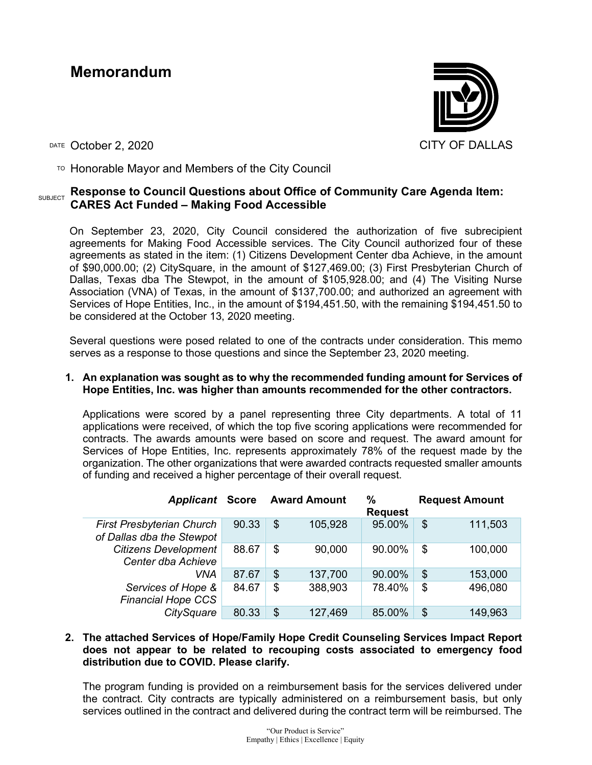# **Memorandum**



DATE October 2, 2020 CITY OF DALLAS

TO Honorable Mayor and Members of the City Council

# SUBJECT **Response to Council Questions about Office of Community Care Agenda Item: CARES Act Funded – Making Food Accessible**

On September 23, 2020, City Council considered the authorization of five subrecipient agreements for Making Food Accessible services. The City Council authorized four of these agreements as stated in the item: (1) Citizens Development Center dba Achieve, in the amount of \$90,000.00; (2) CitySquare, in the amount of \$127,469.00; (3) First Presbyterian Church of Dallas, Texas dba The Stewpot, in the amount of \$105,928.00; and (4) The Visiting Nurse Association (VNA) of Texas, in the amount of \$137,700.00; and authorized an agreement with Services of Hope Entities, Inc., in the amount of \$194,451.50, with the remaining \$194,451.50 to be considered at the October 13, 2020 meeting.

Several questions were posed related to one of the contracts under consideration. This memo serves as a response to those questions and since the September 23, 2020 meeting.

#### **1. An explanation was sought as to why the recommended funding amount for Services of Hope Entities, Inc. was higher than amounts recommended for the other contractors.**

Applications were scored by a panel representing three City departments. A total of 11 applications were received, of which the top five scoring applications were recommended for contracts. The awards amounts were based on score and request. The award amount for Services of Hope Entities, Inc. represents approximately 78% of the request made by the organization. The other organizations that were awarded contracts requested smaller amounts of funding and received a higher percentage of their overall request.

| <b>Applicant Score</b>                                        |       | <b>Award Amount</b> | %<br><b>Request</b> | <b>Request Amount</b> |
|---------------------------------------------------------------|-------|---------------------|---------------------|-----------------------|
| <b>First Presbyterian Church</b><br>of Dallas dba the Stewpot | 90.33 | \$<br>105,928       | 95.00%              | \$<br>111,503         |
| <b>Citizens Development</b><br>Center dba Achieve             | 88.67 | \$<br>90,000        | 90.00%              | \$<br>100,000         |
| VNA                                                           | 87.67 | \$<br>137,700       | 90.00%              | \$<br>153,000         |
| Services of Hope &<br><b>Financial Hope CCS</b>               | 84.67 | \$<br>388,903       | 78.40%              | \$<br>496,080         |
| <b>CitySquare</b>                                             | 80.33 | \$<br>127,469       | 85.00%              | \$<br>149,963         |

# **2. The attached Services of Hope/Family Hope Credit Counseling Services Impact Report does not appear to be related to recouping costs associated to emergency food distribution due to COVID. Please clarify.**

The program funding is provided on a reimbursement basis for the services delivered under the contract. City contracts are typically administered on a reimbursement basis, but only services outlined in the contract and delivered during the contract term will be reimbursed. The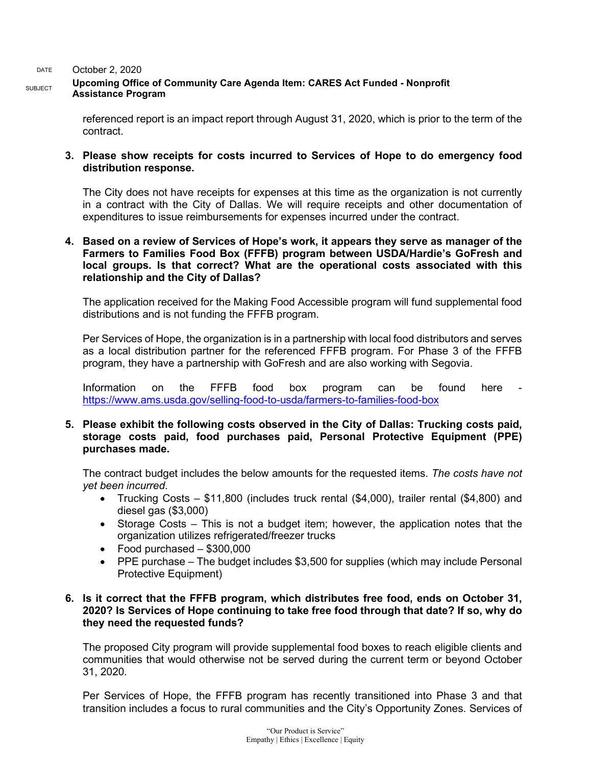#### DATE October 2, 2020

# SUBJECT **Upcoming Office of Community Care Agenda Item: CARES Act Funded - Nonprofit Assistance Program**

referenced report is an impact report through August 31, 2020, which is prior to the term of the contract.

## **3. Please show receipts for costs incurred to Services of Hope to do emergency food distribution response.**

The City does not have receipts for expenses at this time as the organization is not currently in a contract with the City of Dallas. We will require receipts and other documentation of expenditures to issue reimbursements for expenses incurred under the contract.

## **4. Based on a review of Services of Hope's work, it appears they serve as manager of the Farmers to Families Food Box (FFFB) program between USDA/Hardie's GoFresh and local groups. Is that correct? What are the operational costs associated with this relationship and the City of Dallas?**

The application received for the Making Food Accessible program will fund supplemental food distributions and is not funding the FFFB program.

Per Services of Hope, the organization is in a partnership with local food distributors and serves as a local distribution partner for the referenced FFFB program. For Phase 3 of the FFFB program, they have a partnership with GoFresh and are also working with Segovia.

Information on the FFFB food box program can be found here <https://www.ams.usda.gov/selling-food-to-usda/farmers-to-families-food-box>

#### **5. Please exhibit the following costs observed in the City of Dallas: Trucking costs paid, storage costs paid, food purchases paid, Personal Protective Equipment (PPE) purchases made.**

The contract budget includes the below amounts for the requested items. *The costs have not yet been incurred*.

- Trucking Costs \$11,800 (includes truck rental (\$4,000), trailer rental (\$4,800) and diesel gas (\$3,000)
- Storage Costs This is not a budget item; however, the application notes that the organization utilizes refrigerated/freezer trucks
- Food purchased \$300,000
- PPE purchase The budget includes \$3,500 for supplies (which may include Personal Protective Equipment)

#### **6. Is it correct that the FFFB program, which distributes free food, ends on October 31, 2020? Is Services of Hope continuing to take free food through that date? If so, why do they need the requested funds?**

The proposed City program will provide supplemental food boxes to reach eligible clients and communities that would otherwise not be served during the current term or beyond October 31, 2020.

Per Services of Hope, the FFFB program has recently transitioned into Phase 3 and that transition includes a focus to rural communities and the City's Opportunity Zones. Services of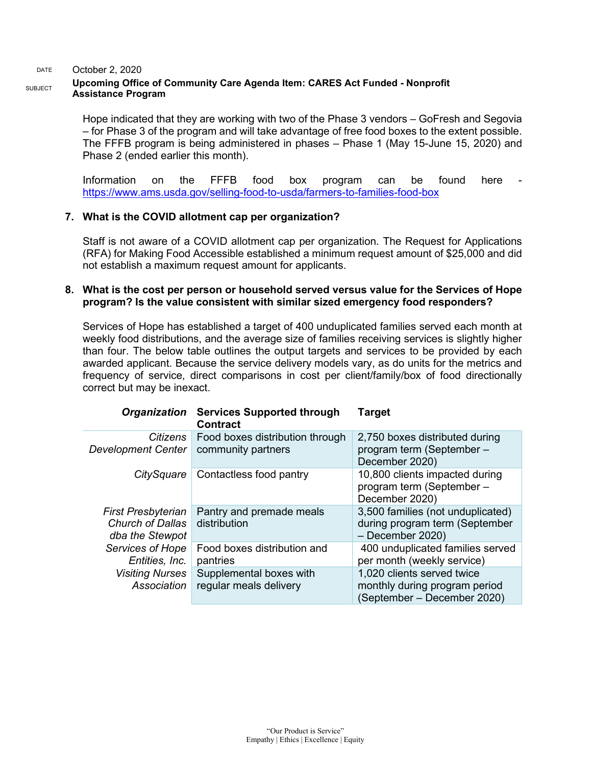#### DATE October 2, 2020

## SUBJECT **Upcoming Office of Community Care Agenda Item: CARES Act Funded - Nonprofit Assistance Program**

Hope indicated that they are working with two of the Phase 3 vendors – GoFresh and Segovia – for Phase 3 of the program and will take advantage of free food boxes to the extent possible. The FFFB program is being administered in phases – Phase 1 (May 15-June 15, 2020) and Phase 2 (ended earlier this month).

Information on the FFFB food box program can be found here <https://www.ams.usda.gov/selling-food-to-usda/farmers-to-families-food-box>

#### **7. What is the COVID allotment cap per organization?**

Staff is not aware of a COVID allotment cap per organization. The Request for Applications (RFA) for Making Food Accessible established a minimum request amount of \$25,000 and did not establish a maximum request amount for applicants.

## **8. What is the cost per person or household served versus value for the Services of Hope program? Is the value consistent with similar sized emergency food responders?**

Services of Hope has established a target of 400 unduplicated families served each month at weekly food distributions, and the average size of families receiving services is slightly higher than four. The below table outlines the output targets and services to be provided by each awarded applicant. Because the service delivery models vary, as do units for the metrics and frequency of service, direct comparisons in cost per client/family/box of food directionally correct but may be inexact.

| <b>Organization</b>                                                     | <b>Services Supported through</b><br><b>Contract</b>  | <b>Target</b>                                                                              |
|-------------------------------------------------------------------------|-------------------------------------------------------|--------------------------------------------------------------------------------------------|
| Citizens<br><b>Development Center</b>                                   | Food boxes distribution through<br>community partners | 2,750 boxes distributed during<br>program term (September -<br>December 2020)              |
| CitySquare                                                              | Contactless food pantry                               | 10,800 clients impacted during<br>program term (September -<br>December 2020)              |
| <b>First Presbyterian</b><br><b>Church of Dallas</b><br>dba the Stewpot | Pantry and premade meals<br>distribution              | 3,500 families (not unduplicated)<br>during program term (September<br>$-$ December 2020)  |
| Services of Hope<br>Entities, Inc.                                      | Food boxes distribution and<br>pantries               | 400 unduplicated families served<br>per month (weekly service)                             |
| <b>Visiting Nurses</b><br>Association                                   | Supplemental boxes with<br>regular meals delivery     | 1,020 clients served twice<br>monthly during program period<br>(September – December 2020) |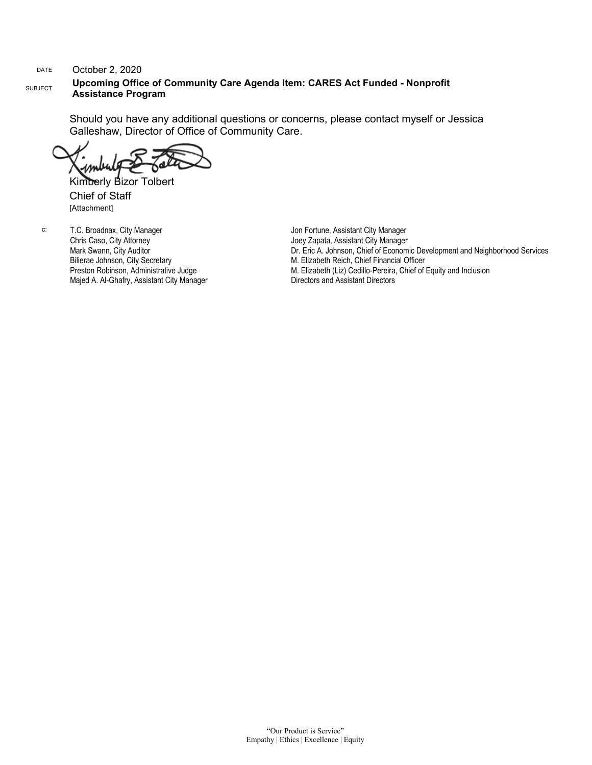#### DATE October 2, 2020

SUBJECT **Upcoming Office of Community Care Agenda Item: CARES Act Funded - Nonprofit Assistance Program**

> Should you have any additional questions or concerns, please contact myself or Jessica Galleshaw, Director of Office of Community Care.

Kimberly Bizor Tolbert Chief of Staff [Attachment]

c: T.C. Broadnax, City Manager Chris Caso, City Attorney Mark Swann, City Auditor Bilierae Johnson, City Secretary Preston Robinson, Administrative Judge Majed A. Al-Ghafry, Assistant City Manager Jon Fortune, Assistant City Manager Joey Zapata, Assistant City Manager Dr. Eric A. Johnson, Chief of Economic Development and Neighborhood Services M. Elizabeth Reich, Chief Financial Officer M. Elizabeth (Liz) Cedillo-Pereira, Chief of Equity and Inclusion Directors and Assistant Directors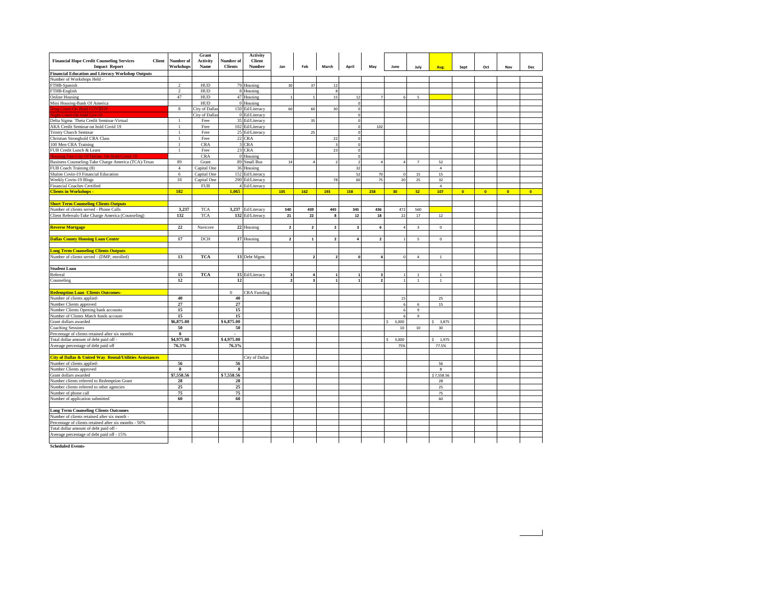| <b>Financial Hope Credit Counseling Services</b><br><b>Client</b>               | Number of      | Grant                                   | Number of      | <b>Activity</b><br>Client         |                         |                |                         |                          |                         |                 |                         |              |           |           |           |           |
|---------------------------------------------------------------------------------|----------------|-----------------------------------------|----------------|-----------------------------------|-------------------------|----------------|-------------------------|--------------------------|-------------------------|-----------------|-------------------------|--------------|-----------|-----------|-----------|-----------|
| <b>Impact Report</b>                                                            | Workshops      | Activity<br>Name                        | <b>Clients</b> | <b>Number</b>                     | Jan                     | Feb            | March                   | April                    | May                     | June            | July                    | Aug.         | Sept      | Oct       | Nov       | Dec       |
| Financial Education and Literacy Workshop Outputs                               |                |                                         |                |                                   |                         |                |                         |                          |                         |                 |                         |              |           |           |           |           |
| Number of Workshops Held -                                                      |                |                                         |                |                                   |                         |                |                         |                          |                         |                 |                         |              |           |           |           |           |
| FTHB-Spanish                                                                    | $\mathfrak{D}$ | <b>HUD</b>                              |                | 79 Housing                        | 30                      | 37             | 12                      |                          |                         |                 |                         |              |           |           |           |           |
| FTHB-English                                                                    | $\overline{2}$ | <b>HUD</b>                              |                | 8 Housing                         |                         |                | $\bf8$                  |                          |                         |                 |                         |              |           |           |           |           |
| <b>Online Housing</b>                                                           | 47             | <b>HUD</b>                              |                | 47 Housing                        | $\mathbf{1}$            |                | 15                      | 12                       | $\overline{7}$          | 6               | 5                       |              |           |           |           |           |
| Mini Housing-Bank Of America                                                    |                | HUD                                     |                | 0 Housing                         |                         |                |                         | $\Omega$                 |                         |                 |                         |              |           |           |           |           |
| <b>Drug Court-On Hold COVID19</b>                                               | 8              | City of Dallas<br><b>City of Dallas</b> |                | 150 Ed/Literacy                   | 60                      | 60             | 30                      | $\circ$                  |                         |                 |                         |              |           |           |           |           |
|                                                                                 | $\mathbf{1}$   |                                         |                | 0 Ed/Literacy                     |                         |                |                         | $\Omega$                 |                         |                 |                         |              |           |           |           |           |
| Delta Sigma Theta Credit Seminar-Virtual<br>AKA Credit Seminar-on hold Covid 19 | 1              | Free<br>Free                            |                | 35 Ed/Literacy<br>102 Ed/Literacy |                         | 35             |                         | $\Omega$<br>$\mathsf{o}$ | 102                     |                 |                         |              |           |           |           |           |
| <b>Trinity Church Seminar</b>                                                   | $\mathbf{1}$   | Free                                    |                | 25 Ed/Literacy                    |                         | 25             |                         | $\circ$                  |                         |                 |                         |              |           |           |           |           |
| <b>Christian Stronghold CRA Class</b>                                           | $\overline{1}$ | Free                                    |                | 22 CRA                            |                         |                | 22                      | $\mathbf 0$              |                         |                 |                         |              |           |           |           |           |
| 100 Men CRA Training                                                            | $\mathbf{1}$   | <b>CRA</b>                              |                | 3 CRA                             |                         |                | $\overline{\mathbf{3}}$ | $\circ$                  |                         |                 |                         |              |           |           |           |           |
| FUB Credit Lunch & Learn                                                        | $\mathbf{1}$   | Free                                    |                | 23 CRA                            |                         |                | 23                      | $\circ$                  |                         |                 |                         |              |           |           |           |           |
| Jousing Fair City Of Dallas, On Hold Covid 1                                    |                | <b>CRA</b>                              |                | 0 Housing                         |                         |                |                         | $\circ$                  |                         |                 |                         |              |           |           |           |           |
| Business Counseling-Take Charge America (TCA)-Texas                             | 89             | Grant                                   |                | 89 Small Bus                      | $14\,$                  |                | $\overline{z}$          | $\overline{\phantom{a}}$ | $\overline{a}$          |                 | $\overline{7}$          | 52           |           |           |           |           |
| FUB Coach Training (8)                                                          | $\overline{4}$ | Capital One                             |                | 36 Housing                        |                         |                |                         | 32                       |                         |                 |                         | $\bf{4}$     |           |           |           |           |
| Shalon Covin-19 Financial Education                                             | 6              | Capital One                             |                | 152 Ed/Literacy                   |                         |                |                         | 52                       | 70                      | $\mathsf{O}$    | 15                      | 15           |           |           |           |           |
| <b>Weekly Covin-19 Blogs</b>                                                    | 18             | Capital One                             |                | 290 Ed/Literacy                   |                         |                | 78                      | 60                       | 75                      | 20              | 25                      | 32           |           |           |           |           |
| Financial Coaches Certified                                                     |                | <b>FUB</b>                              |                | 4 Ed/Literacy                     |                         |                |                         |                          |                         |                 |                         | $\ddot{a}$   |           |           |           |           |
| <b>Clients in Workshops -</b>                                                   | 182            |                                         | 1.065          |                                   | 105                     | 162            | 193                     | 158                      | 258                     | 30 <sub>2</sub> | 52 <sub>2</sub>         | 107          | $\bullet$ | $\bullet$ | $\bullet$ | $\bullet$ |
|                                                                                 |                |                                         |                |                                   |                         |                |                         |                          |                         |                 |                         |              |           |           |           |           |
| <b>Short Term Counseling Clients Outputs</b>                                    |                |                                         |                |                                   |                         |                |                         |                          |                         |                 |                         |              |           |           |           |           |
| Number of clients served - Phone Calls                                          | 3,237          | <b>TCA</b>                              |                | 3,237 Ed/Literacy                 | 540                     | 439            | 445                     | 345                      | 436                     | 472             | 560                     |              |           |           |           |           |
| Client Referrals-Take Charge America (Counseling)                               | 132            | <b>TCA</b>                              |                | 132 Ed/Literacy                   | 21                      | 22             | 8                       | 12                       | 18                      | $\bf{22}$       | 17                      | $12\,$       |           |           |           |           |
|                                                                                 |                |                                         |                |                                   |                         |                |                         |                          |                         |                 |                         |              |           |           |           |           |
| <b>Reverse Mortgage</b>                                                         | 22             | Navicore                                |                | 22 Housing                        | $\overline{2}$          | $\overline{2}$ | $\overline{2}$          | $\overline{\mathbf{3}}$  | 6                       | $\overline{4}$  | $\overline{\mathbf{3}}$ | $\mathbf 0$  |           |           |           |           |
| <b>Dallas County Housing Loan Center</b>                                        | 17             | DCH                                     |                | 17 Housing                        | $\mathbf{2}$            | $\mathbf{1}$   | $\overline{2}$          | $\overline{4}$           | $\overline{\mathbf{2}}$ | $\mathbf{1}$    | 5                       | $\mathbf 0$  |           |           |           |           |
|                                                                                 |                |                                         |                |                                   |                         |                |                         |                          |                         |                 |                         |              |           |           |           |           |
| <b>Long Term Counseling Clients Outputs</b>                                     |                |                                         |                |                                   |                         |                |                         |                          |                         |                 |                         |              |           |           |           |           |
| Number of clients served - (DMP, enrolled)                                      | 13             | <b>TCA</b>                              |                | 13 Debt Mgmt.                     |                         |                | $\overline{2}$          | $\Omega$                 | $\overline{a}$          | $\Omega$        | $\overline{4}$          | $\mathbf{1}$ |           |           |           |           |
|                                                                                 |                |                                         |                |                                   |                         |                |                         |                          |                         |                 |                         |              |           |           |           |           |
| <b>Student Loan</b>                                                             |                |                                         |                |                                   |                         |                |                         |                          |                         |                 |                         |              |           |           |           |           |
| Referral                                                                        | 15             | <b>TCA</b>                              |                | 15 Ed/Literacy                    | $\overline{\mathbf{3}}$ |                | $\mathbf 1$             |                          | $\overline{\mathbf{3}}$ |                 | $1\,$                   | $1\,$        |           |           |           |           |
| Counseling                                                                      | $12\,$         |                                         | 12             |                                   | $\overline{2}$          |                | $\mathbf{1}$            | $\overline{1}$           | $\overline{2}$          |                 | $\,$ 1 $\,$             | $\,$ 1 $\,$  |           |           |           |           |
|                                                                                 |                |                                         |                |                                   |                         |                |                         |                          |                         |                 |                         |              |           |           |           |           |
| <b>Redemption Loan Clients Outcomes-</b>                                        |                |                                         | $\bf{0}$       | <b>CRA</b> Funding                |                         |                |                         |                          |                         |                 |                         |              |           |           |           |           |
| Number of clients applied-                                                      | 40             |                                         | 40             |                                   |                         |                |                         |                          |                         | 15              |                         | 25           |           |           |           |           |
| Number Clients approved                                                         | 27             |                                         | 27             |                                   |                         |                |                         |                          |                         | 6               | $6\phantom{1}$          | 15           |           |           |           |           |
| Number Clients Opening bank accounts                                            | 15             |                                         | $15\,$         |                                   |                         |                |                         |                          |                         | 6               | 9                       |              |           |           |           |           |
| Number of Clients Match funds account                                           | 15             |                                         | 15             |                                   |                         |                |                         |                          |                         | 6               | $^{\rm g}$              |              |           |           |           |           |
| Grant dollars awarded                                                           | \$6,875.00     |                                         | \$6,875.00     |                                   |                         |                |                         |                          |                         | 3,000<br>Ś      |                         | \$<br>3,875  |           |           |           |           |
| <b>Coaching Sessions</b>                                                        | 50             |                                         | 50             |                                   |                         |                |                         |                          |                         | 10              | 10                      | 30           |           |           |           |           |
| Percentage of clients retained after six months                                 | $\bf{0}$       |                                         |                |                                   |                         |                |                         |                          |                         |                 |                         |              |           |           |           |           |
| Total dollar amount of debt paid off -                                          | \$4,975.00     |                                         | \$4,975.00     |                                   |                         |                |                         |                          |                         | 3,000<br>Ś.     |                         | 1,975<br>¢.  |           |           |           |           |
| Average percentage of debt paid off                                             | 76.3%          |                                         | 76.3%          |                                   |                         |                |                         |                          |                         | 75%             |                         | 77.5%        |           |           |           |           |
| <b>City of Dallas &amp; United Way Rental/Utilities Assistances</b>             |                |                                         |                | City of Dallas                    |                         |                |                         |                          |                         |                 |                         |              |           |           |           |           |
| Number of clients applied-                                                      | 56             |                                         | 56             |                                   |                         |                |                         |                          |                         |                 |                         | 56           |           |           |           |           |
| Number Clients approved                                                         | $\bf8$         |                                         | $\bf8$         |                                   |                         |                |                         |                          |                         |                 |                         | 8            |           |           |           |           |
| Grant dollars awarded                                                           | \$7,558.56     |                                         | \$7,558.56     |                                   |                         |                |                         |                          |                         |                 |                         | \$7,558.56   |           |           |           |           |
| Number clients referred to Redemption Grant                                     | 28             |                                         | 28             |                                   |                         |                |                         |                          |                         |                 |                         | 28           |           |           |           |           |
| Number clients referred to other agencies                                       | 25             |                                         | 25             |                                   |                         |                |                         |                          |                         |                 |                         | 25           |           |           |           |           |
| Number of phone call                                                            | 75             |                                         | 75             |                                   |                         |                |                         |                          |                         |                 |                         | 75           |           |           |           |           |
| Number of application submitted                                                 | 60             |                                         | 60             |                                   |                         |                |                         |                          |                         |                 |                         | 60           |           |           |           |           |
|                                                                                 |                |                                         |                |                                   |                         |                |                         |                          |                         |                 |                         |              |           |           |           |           |
| <b>Long Term Counseling Clients Outcomes</b>                                    |                |                                         |                |                                   |                         |                |                         |                          |                         |                 |                         |              |           |           |           |           |
| Number of clients retained after six month -                                    |                |                                         |                |                                   |                         |                |                         |                          |                         |                 |                         |              |           |           |           |           |
| Percentage of clients retained after six months - 50%                           |                |                                         |                |                                   |                         |                |                         |                          |                         |                 |                         |              |           |           |           |           |
| Total dollar amount of debt paid off -                                          |                |                                         |                |                                   |                         |                |                         |                          |                         |                 |                         |              |           |           |           |           |
| Average percentage of debt paid off - 15%                                       |                |                                         |                |                                   |                         |                |                         |                          |                         |                 |                         |              |           |           |           |           |
|                                                                                 |                |                                         |                |                                   |                         |                |                         |                          |                         |                 |                         |              |           |           |           |           |

**Scheduled Events-**